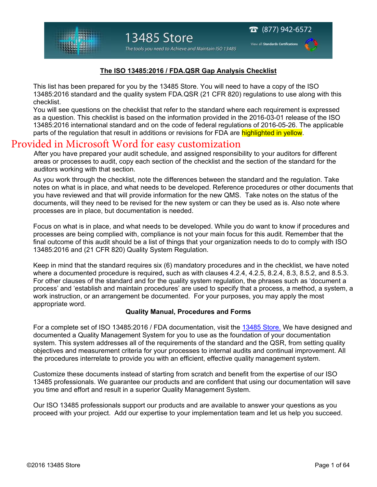View all Standards Certifica

### **The ISO 13485:2016 / FDA.QSR Gap Analysis Checklist**

This list has been prepared for you by the 13485 Store. You will need to have a copy of the ISO 13485:2016 standard and the quality system FDA.QSR (21 CFR 820) regulations to use along with this checklist.

You will see questions on the checklist that refer to the standard where each requirement is expressed as a question. This checklist is based on the information provided in the 2016-03-01 release of the ISO 13485:2016 international standard and on the code of federal regulations of 2016-05-26. The applicable parts of the regulation that result in additions or revisions for FDA are highlighted in yellow.

## Provided in Microsoft Word for easy customization

After you have prepared your audit schedule, and assigned responsibility to your auditors for different areas or processes to audit, copy each section of the checklist and the section of the standard for the auditors working with that section.

As you work through the checklist, note the differences between the standard and the regulation. Take notes on what is in place, and what needs to be developed. Reference procedures or other documents that you have reviewed and that will provide information for the new QMS. Take notes on the status of the documents, will they need to be revised for the new system or can they be used as is. Also note where processes are in place, but documentation is needed.

Focus on what is in place, and what needs to be developed. While you do want to know if procedures and processes are being complied with, compliance is not your main focus for this audit. Remember that the final outcome of this audit should be a list of things that your organization needs to do to comply with ISO 13485:2016 and (21 CFR 820) Quality System Regulation.

Keep in mind that the standard requires six (6) mandatory procedures and in the checklist, we have noted where a documented procedure is required**,** such as with clauses 4.2.4, 4.2.5, 8.2.4, 8.3, 8.5.2, and 8.5.3. For other clauses of the standard and for the quality system regulation, the phrases such as 'document a process' and 'establish and maintain procedures' are used to specify that a process, a method, a system, a work instruction, or an arrangement be documented. For your purposes, you may apply the most appropriate word.

#### **Quality Manual, Procedures and Forms**

For a complete set of ISO 13485:2016 / FDA documentation, visit the 13485 Store. We have designed and documented a Quality Management System for you to use as the foundation of your documentation system. This system addresses all of the requirements of the standard and the QSR, from setting quality objectives and measurement criteria for your processes to internal audits and continual improvement. All the procedures interrelate to provide you with an efficient, effective quality management system.

Customize these documents instead of starting from scratch and benefit from the expertise of our ISO 13485 professionals. We guarantee our products and are confident that using our documentation will save you time and effort and result in a superior Quality Management System.

Our ISO 13485 professionals support our products and are available to answer your questions as you proceed with your project. Add our expertise to your implementation team and let us help you succeed.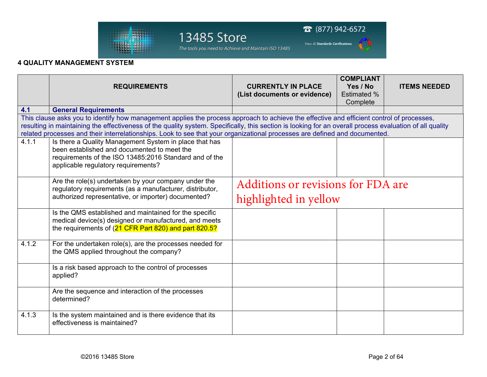

 $\bullet$  (877) 942-6572 13485 Store View all Standards Certifications

The tools you need to Achieve and Maintain ISO 13485

### **4 QUALITY MANAGEMENT SYSTEM**

|                                                                                                                                                          | <b>REQUIREMENTS</b>                                                                                                                                                     | <b>CURRENTLY IN PLACE</b>                 | <b>COMPLIANT</b><br>Yes / No | <b>ITEMS NEEDED</b> |  |  |  |
|----------------------------------------------------------------------------------------------------------------------------------------------------------|-------------------------------------------------------------------------------------------------------------------------------------------------------------------------|-------------------------------------------|------------------------------|---------------------|--|--|--|
|                                                                                                                                                          |                                                                                                                                                                         | (List documents or evidence)              | <b>Estimated %</b>           |                     |  |  |  |
|                                                                                                                                                          |                                                                                                                                                                         |                                           | Complete                     |                     |  |  |  |
| 4.1                                                                                                                                                      | <b>General Requirements</b>                                                                                                                                             |                                           |                              |                     |  |  |  |
| This clause asks you to identify how management applies the process approach to achieve the effective and efficient control of processes,                |                                                                                                                                                                         |                                           |                              |                     |  |  |  |
| resulting in maintaining the effectiveness of the quality system. Specifically, this section is looking for an overall process evaluation of all quality |                                                                                                                                                                         |                                           |                              |                     |  |  |  |
| related processes and their interrelationships. Look to see that your organizational processes are defined and documented.                               |                                                                                                                                                                         |                                           |                              |                     |  |  |  |
| 4.1.1                                                                                                                                                    | Is there a Quality Management System in place that has                                                                                                                  |                                           |                              |                     |  |  |  |
|                                                                                                                                                          | been established and documented to meet the                                                                                                                             |                                           |                              |                     |  |  |  |
|                                                                                                                                                          | requirements of the ISO 13485:2016 Standard and of the<br>applicable regulatory requirements?                                                                           |                                           |                              |                     |  |  |  |
|                                                                                                                                                          |                                                                                                                                                                         |                                           |                              |                     |  |  |  |
|                                                                                                                                                          | Are the role(s) undertaken by your company under the<br>regulatory requirements (as a manufacturer, distributor,<br>authorized representative, or importer) documented? | <b>Additions or revisions for FDA are</b> |                              |                     |  |  |  |
|                                                                                                                                                          |                                                                                                                                                                         |                                           |                              |                     |  |  |  |
|                                                                                                                                                          |                                                                                                                                                                         | highlighted in yellow                     |                              |                     |  |  |  |
|                                                                                                                                                          | Is the QMS established and maintained for the specific                                                                                                                  |                                           |                              |                     |  |  |  |
|                                                                                                                                                          | medical device(s) designed or manufactured, and meets<br>the requirements of (21 CFR Part 820) and part 820.5?                                                          |                                           |                              |                     |  |  |  |
|                                                                                                                                                          |                                                                                                                                                                         |                                           |                              |                     |  |  |  |
| 4.1.2                                                                                                                                                    | For the undertaken role(s), are the processes needed for<br>the QMS applied throughout the company?                                                                     |                                           |                              |                     |  |  |  |
|                                                                                                                                                          |                                                                                                                                                                         |                                           |                              |                     |  |  |  |
|                                                                                                                                                          |                                                                                                                                                                         |                                           |                              |                     |  |  |  |
|                                                                                                                                                          | Is a risk based approach to the control of processes<br>applied?                                                                                                        |                                           |                              |                     |  |  |  |
|                                                                                                                                                          |                                                                                                                                                                         |                                           |                              |                     |  |  |  |
|                                                                                                                                                          | Are the sequence and interaction of the processes                                                                                                                       |                                           |                              |                     |  |  |  |
|                                                                                                                                                          | determined?                                                                                                                                                             |                                           |                              |                     |  |  |  |
|                                                                                                                                                          |                                                                                                                                                                         |                                           |                              |                     |  |  |  |
| 4.1.3                                                                                                                                                    | Is the system maintained and is there evidence that its<br>effectiveness is maintained?                                                                                 |                                           |                              |                     |  |  |  |
|                                                                                                                                                          |                                                                                                                                                                         |                                           |                              |                     |  |  |  |